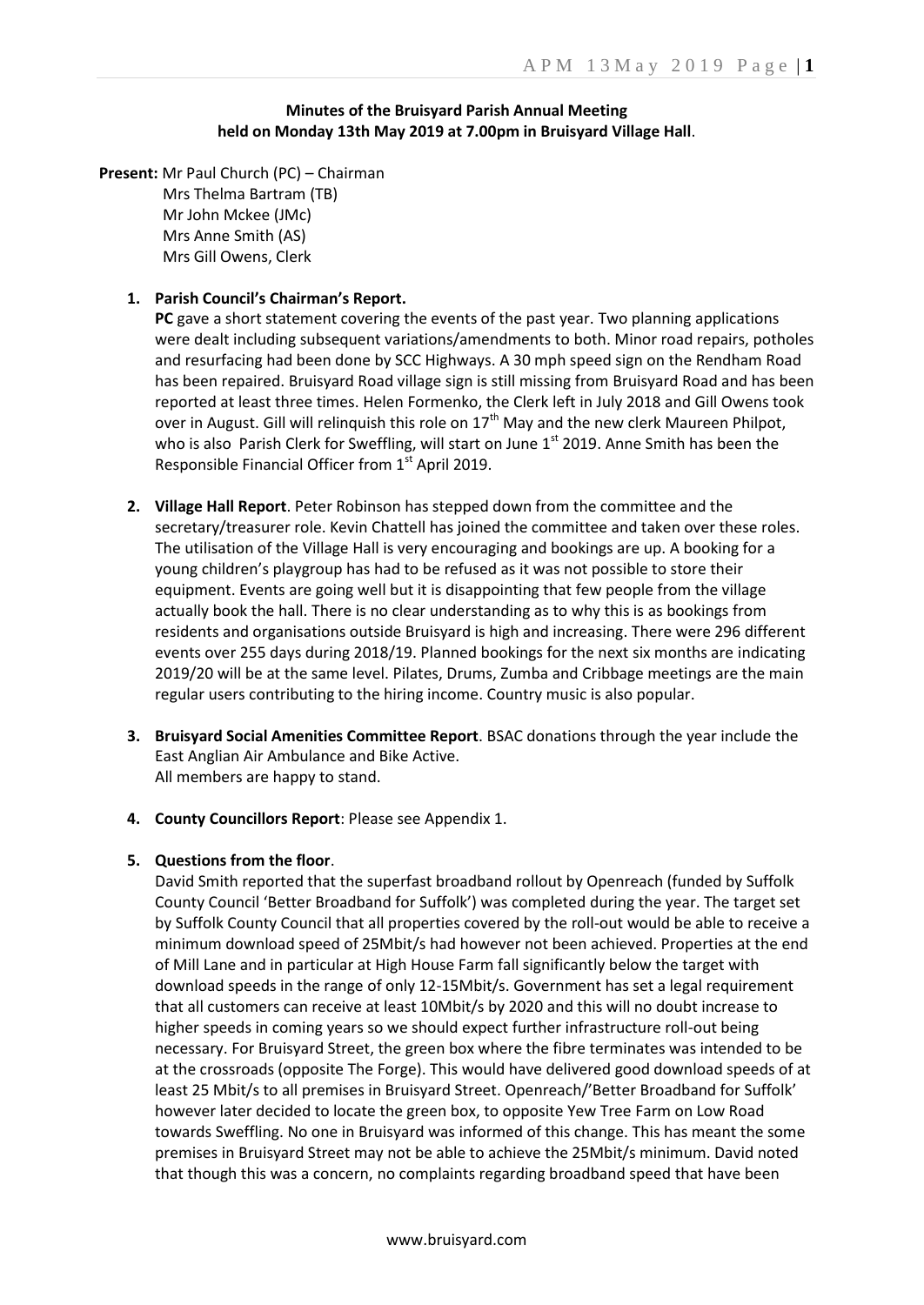#### **Minutes of the Bruisyard Parish Annual Meeting held on Monday 13th May 2019 at 7.00pm in Bruisyard Village Hall**.

**Present:** Mr Paul Church (PC) – Chairman Mrs Thelma Bartram (TB) Mr John Mckee (JMc) Mrs Anne Smith (AS) Mrs Gill Owens, Clerk

#### **1. Parish Council's Chairman's Report.**

**PC** gave a short statement covering the events of the past year. Two planning applications were dealt including subsequent variations/amendments to both. Minor road repairs, potholes and resurfacing had been done by SCC Highways. A 30 mph speed sign on the Rendham Road has been repaired. Bruisyard Road village sign is still missing from Bruisyard Road and has been reported at least three times. Helen Formenko, the Clerk left in July 2018 and Gill Owens took over in August. Gill will relinquish this role on  $17<sup>th</sup>$  May and the new clerk Maureen Philpot, who is also Parish Clerk for Sweffling, will start on June  $1<sup>st</sup>$  2019. Anne Smith has been the Responsible Financial Officer from 1<sup>st</sup> April 2019.

- **2. Village Hall Report**. Peter Robinson has stepped down from the committee and the secretary/treasurer role. Kevin Chattell has joined the committee and taken over these roles. The utilisation of the Village Hall is very encouraging and bookings are up. A booking for a young children's playgroup has had to be refused as it was not possible to store their equipment. Events are going well but it is disappointing that few people from the village actually book the hall. There is no clear understanding as to why this is as bookings from residents and organisations outside Bruisyard is high and increasing. There were 296 different events over 255 days during 2018/19. Planned bookings for the next six months are indicating 2019/20 will be at the same level. Pilates, Drums, Zumba and Cribbage meetings are the main regular users contributing to the hiring income. Country music is also popular.
- **3. Bruisyard Social Amenities Committee Report**. BSAC donations through the year include the East Anglian Air Ambulance and Bike Active. All members are happy to stand.
- **4. County Councillors Report**: Please see Appendix 1.

#### **5. Questions from the floor**.

David Smith reported that the superfast broadband rollout by Openreach (funded by Suffolk County Council 'Better Broadband for Suffolk') was completed during the year. The target set by Suffolk County Council that all properties covered by the roll-out would be able to receive a minimum download speed of 25Mbit/s had however not been achieved. Properties at the end of Mill Lane and in particular at High House Farm fall significantly below the target with download speeds in the range of only 12-15Mbit/s. Government has set a legal requirement that all customers can receive at least 10Mbit/s by 2020 and this will no doubt increase to higher speeds in coming years so we should expect further infrastructure roll-out being necessary. For Bruisyard Street, the green box where the fibre terminates was intended to be at the crossroads (opposite The Forge). This would have delivered good download speeds of at least 25 Mbit/s to all premises in Bruisyard Street. Openreach/'Better Broadband for Suffolk' however later decided to locate the green box, to opposite Yew Tree Farm on Low Road towards Sweffling. No one in Bruisyard was informed of this change. This has meant the some premises in Bruisyard Street may not be able to achieve the 25Mbit/s minimum. David noted that though this was a concern, no complaints regarding broadband speed that have been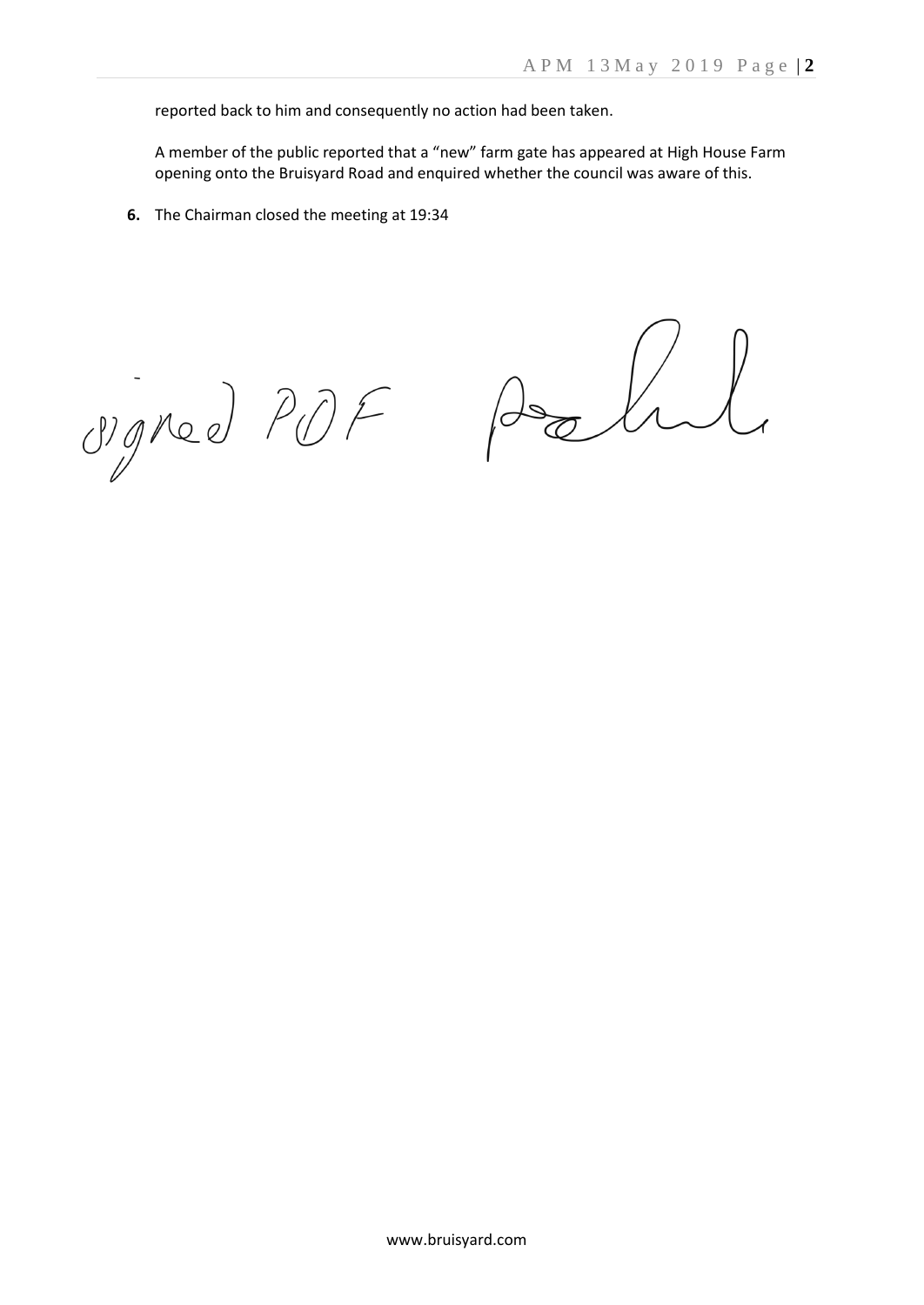reported back to him and consequently no action had been taken.

A member of the public reported that a "new" farm gate has appeared at High House Farm opening onto the Bruisyard Road and enquired whether the council was aware of this.

**6.** The Chairman closed the meeting at 19:34

Maned PDF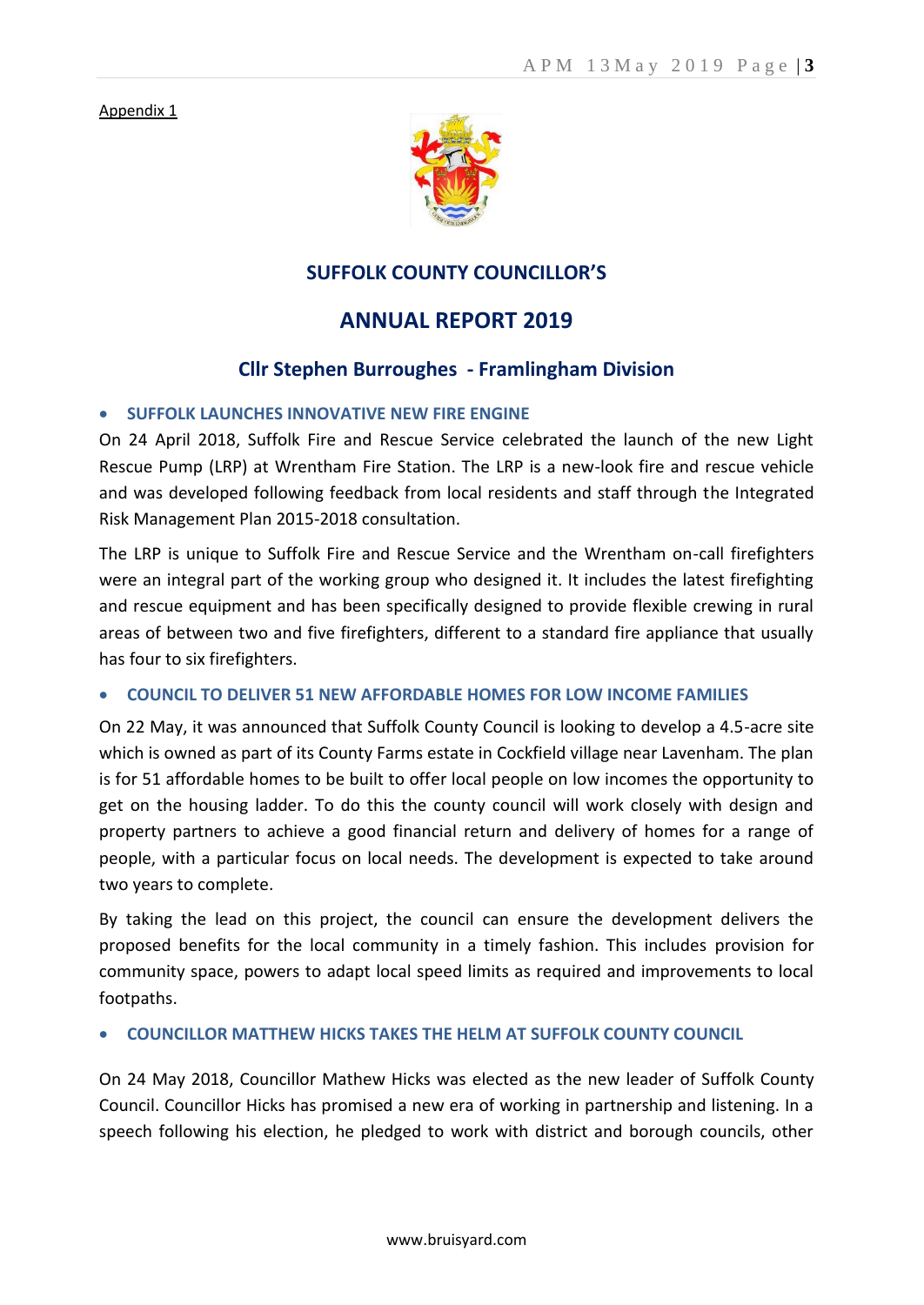Appendix 1



## **SUFFOLK COUNTY COUNCILLOR'S**

# **ANNUAL REPORT 2019**

## **Cllr Stephen Burroughes - Framlingham Division**

### **SUFFOLK LAUNCHES INNOVATIVE NEW FIRE ENGINE**

On 24 April 2018, Suffolk Fire and Rescue Service celebrated the launch of the new Light Rescue Pump (LRP) at Wrentham Fire Station. The LRP is a new-look fire and rescue vehicle and was developed following feedback from local residents and staff through the Integrated Risk Management Plan 2015-2018 consultation.

The LRP is unique to Suffolk Fire and Rescue Service and the Wrentham on-call firefighters were an integral part of the working group who designed it. It includes the latest firefighting and rescue equipment and has been specifically designed to provide flexible crewing in rural areas of between two and five firefighters, different to a standard fire appliance that usually has four to six firefighters.

#### **COUNCIL TO DELIVER 51 NEW AFFORDABLE HOMES FOR LOW INCOME FAMILIES**

On 22 May, it was announced that Suffolk County Council is looking to develop a 4.5-acre site which is owned as part of its County Farms estate in Cockfield village near Lavenham. The plan is for 51 affordable homes to be built to offer local people on low incomes the opportunity to get on the housing ladder. To do this the county council will work closely with design and property partners to achieve a good financial return and delivery of homes for a range of people, with a particular focus on local needs. The development is expected to take around two years to complete.

By taking the lead on this project, the council can ensure the development delivers the proposed benefits for the local community in a timely fashion. This includes provision for community space, powers to adapt local speed limits as required and improvements to local footpaths.

#### **COUNCILLOR MATTHEW HICKS TAKES THE HELM AT SUFFOLK COUNTY COUNCIL**

On 24 May 2018, Councillor Mathew Hicks was elected as the new leader of Suffolk County Council. Councillor Hicks has promised a new era of working in partnership and listening. In a speech following his election, he pledged to work with district and borough councils, other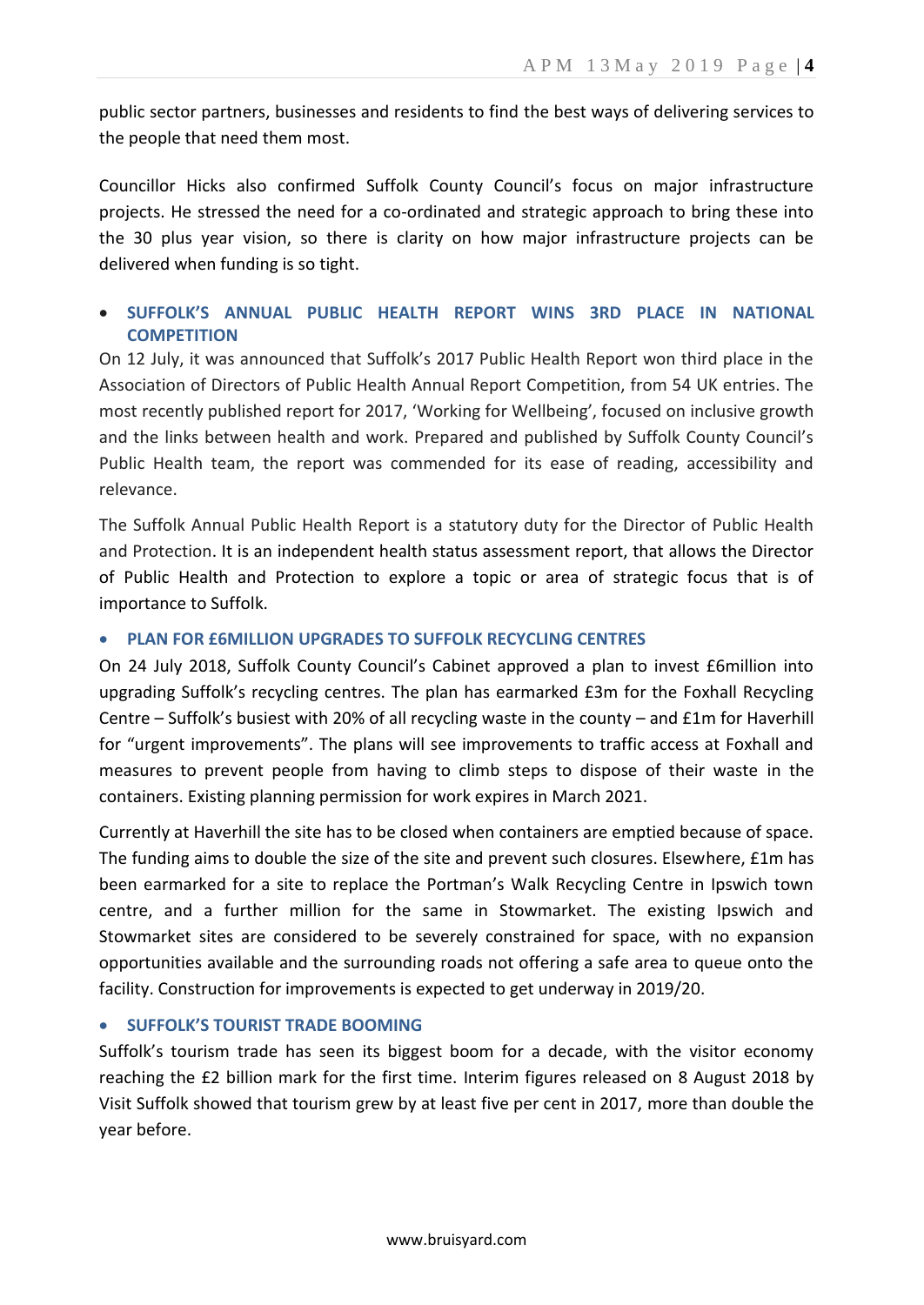public sector partners, businesses and residents to find the best ways of delivering services to the people that need them most.

Councillor Hicks also confirmed Suffolk County Council's focus on major infrastructure projects. He stressed the need for a co-ordinated and strategic approach to bring these into the 30 plus year vision, so there is clarity on how major infrastructure projects can be delivered when funding is so tight.

## **SUFFOLK'S ANNUAL PUBLIC HEALTH REPORT WINS 3RD PLACE IN NATIONAL COMPETITION**

On 12 July, it was announced that Suffolk's 2017 Public Health Report won third place in the Association of Directors of Public Health Annual Report Competition, from 54 UK entries. The most recently published report for 2017, 'Working for Wellbeing', focused on inclusive growth and the links between health and work. Prepared and published by Suffolk County Council's Public Health team, the report was commended for its ease of reading, accessibility and relevance.

The Suffolk Annual Public Health Report is a statutory duty for the Director of Public Health and Protection. It is an independent health status assessment report, that allows the Director of Public Health and Protection to explore a topic or area of strategic focus that is of importance to Suffolk.

## **PLAN FOR £6MILLION UPGRADES TO SUFFOLK RECYCLING CENTRES**

On 24 July 2018, Suffolk County Council's Cabinet approved a plan to invest £6million into upgrading Suffolk's recycling centres. The plan has earmarked £3m for the Foxhall Recycling Centre – Suffolk's busiest with 20% of all recycling waste in the county – and £1m for Haverhill for "urgent improvements". The plans will see improvements to traffic access at Foxhall and measures to prevent people from having to climb steps to dispose of their waste in the containers. Existing planning permission for work expires in March 2021.

Currently at Haverhill the site has to be closed when containers are emptied because of space. The funding aims to double the size of the site and prevent such closures. Elsewhere, £1m has been earmarked for a site to replace the Portman's Walk Recycling Centre in Ipswich town centre, and a further million for the same in Stowmarket. The existing Ipswich and Stowmarket sites are considered to be severely constrained for space, with no expansion opportunities available and the surrounding roads not offering a safe area to queue onto the facility. Construction for improvements is expected to get underway in 2019/20.

## **SUFFOLK'S TOURIST TRADE BOOMING**

Suffolk's tourism trade has seen its biggest boom for a decade, with the visitor economy reaching the £2 billion mark for the first time. Interim figures released on 8 August 2018 by Visit Suffolk showed that tourism grew by at least five per cent in 2017, more than double the year before.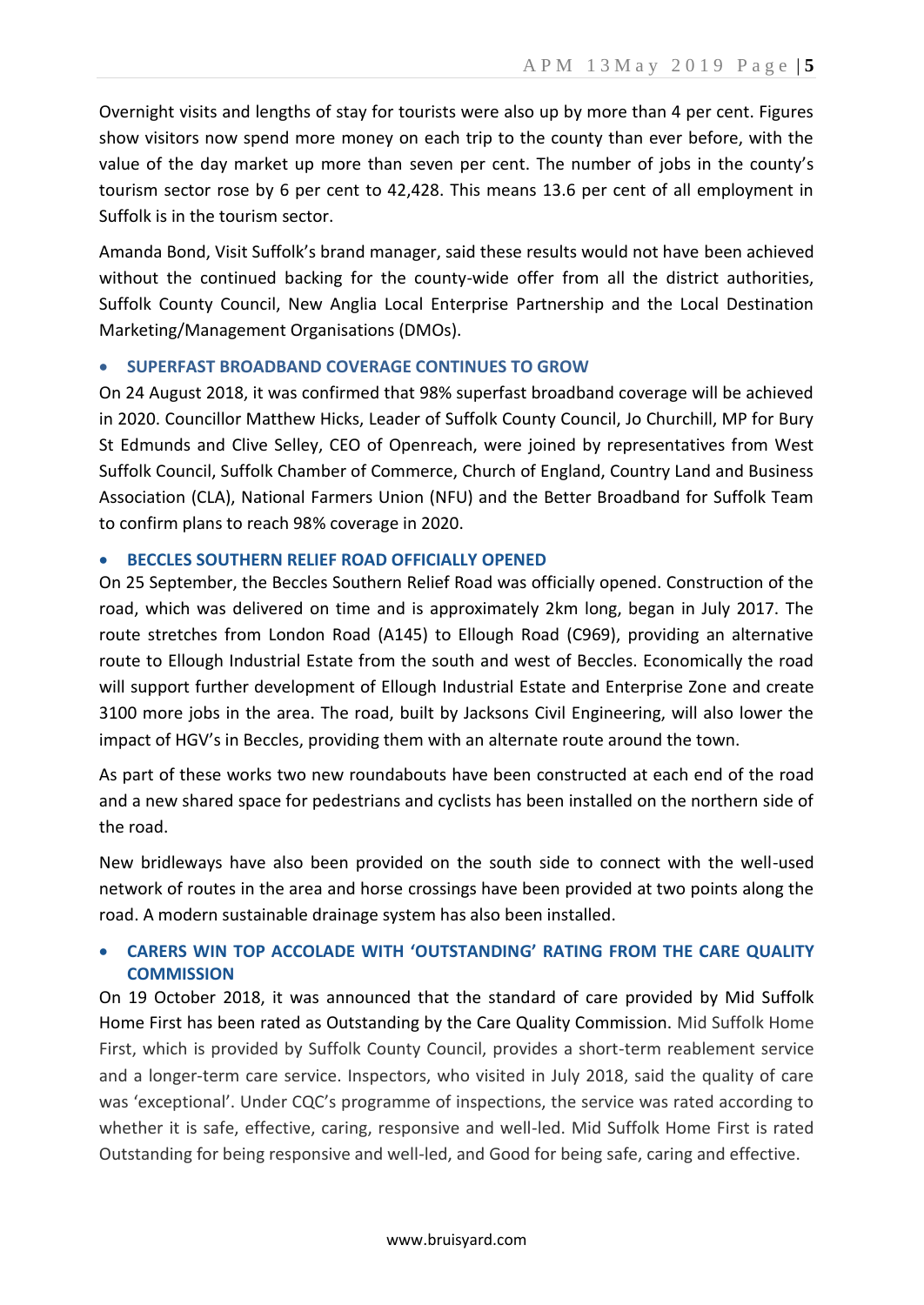Overnight visits and lengths of stay for tourists were also up by more than 4 per cent. Figures show visitors now spend more money on each trip to the county than ever before, with the value of the day market up more than seven per cent. The number of jobs in the county's tourism sector rose by 6 per cent to 42,428. This means 13.6 per cent of all employment in Suffolk is in the tourism sector.

Amanda Bond, Visit Suffolk's brand manager, said these results would not have been achieved without the continued backing for the county-wide offer from all the district authorities, Suffolk County Council, New Anglia Local Enterprise Partnership and the Local Destination Marketing/Management Organisations (DMOs).

## **SUPERFAST BROADBAND COVERAGE CONTINUES TO GROW**

On 24 August 2018, it was confirmed that 98% superfast broadband coverage will be achieved in 2020. Councillor Matthew Hicks, Leader of Suffolk County Council, Jo Churchill, MP for Bury St Edmunds and Clive Selley, CEO of Openreach, were joined by representatives from West Suffolk Council, Suffolk Chamber of Commerce, Church of England, Country Land and Business Association (CLA), National Farmers Union (NFU) and the Better Broadband for Suffolk Team to confirm plans to reach 98% coverage in 2020.

### **BECCLES SOUTHERN RELIEF ROAD OFFICIALLY OPENED**

On 25 September, the Beccles Southern Relief Road was officially opened. Construction of the road, which was delivered on time and is approximately 2km long, began in July 2017. The route stretches from London Road (A145) to Ellough Road (C969), providing an alternative route to Ellough Industrial Estate from the south and west of Beccles. Economically the road will support further development of Ellough Industrial Estate and Enterprise Zone and create 3100 more jobs in the area. The road, built by Jacksons Civil Engineering, will also lower the impact of HGV's in Beccles, providing them with an alternate route around the town.

As part of these works two new roundabouts have been constructed at each end of the road and a new shared space for pedestrians and cyclists has been installed on the northern side of the road.

New bridleways have also been provided on the south side to connect with the well-used network of routes in the area and horse crossings have been provided at two points along the road. A modern sustainable drainage system has also been installed.

## **CARERS WIN TOP ACCOLADE WITH 'OUTSTANDING' RATING FROM THE CARE QUALITY COMMISSION**

On 19 October 2018, it was announced that the standard of care provided by Mid Suffolk Home First has been rated as Outstanding by the Care Quality Commission. Mid Suffolk Home First, which is provided by Suffolk County Council, provides a short-term reablement service and a longer-term care service. Inspectors, who visited in July 2018, said the quality of care was 'exceptional'. Under CQC's programme of inspections, the service was rated according to whether it is safe, effective, caring, responsive and well-led. Mid Suffolk Home First is rated Outstanding for being responsive and well-led, and Good for being safe, caring and effective.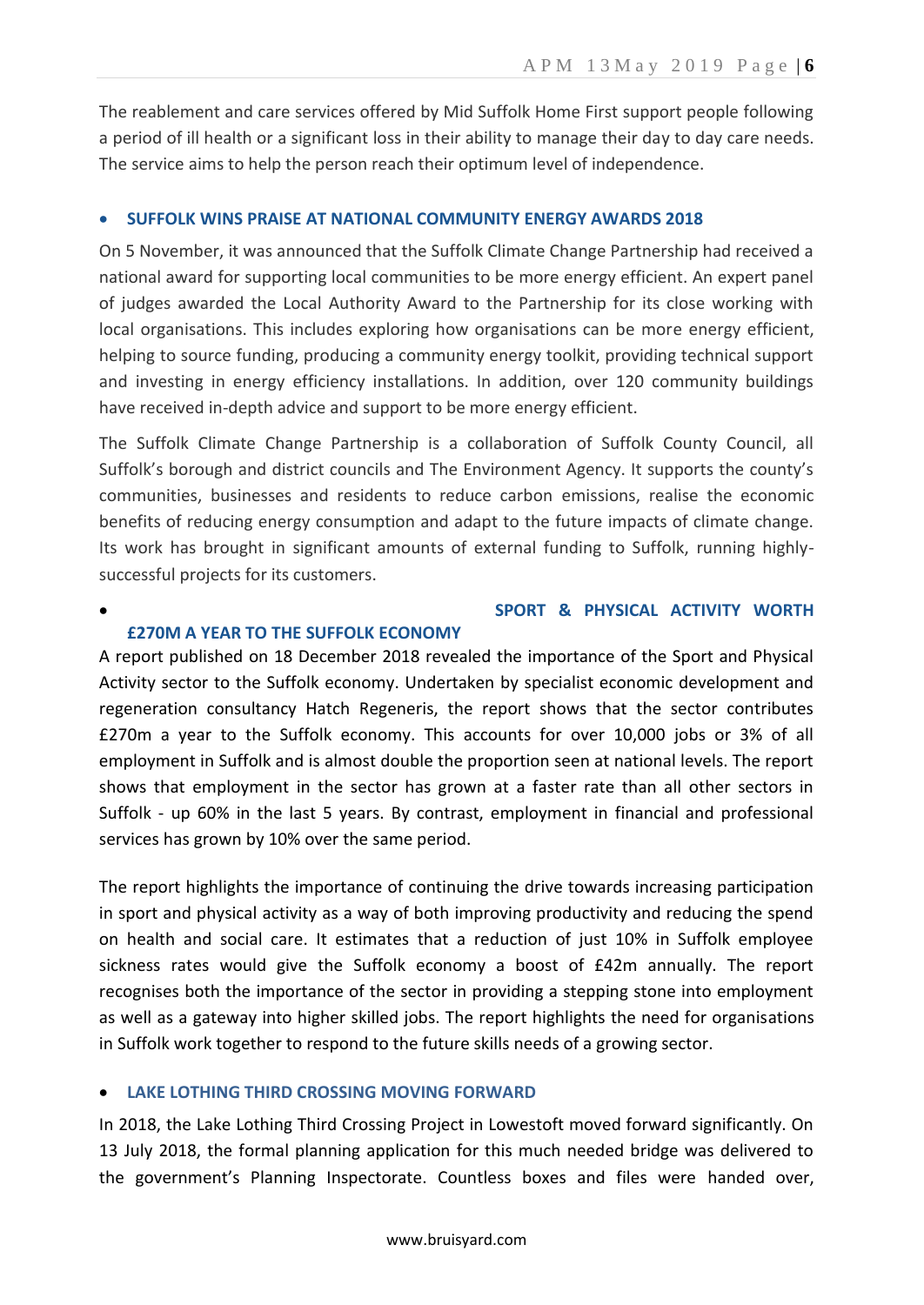The reablement and care services offered by Mid Suffolk Home First support people following a period of ill health or a significant loss in their ability to manage their day to day care needs. The service aims to help the person reach their optimum level of independence.

### **SUFFOLK WINS PRAISE AT NATIONAL COMMUNITY ENERGY AWARDS 2018**

On 5 November, it was announced that the Suffolk Climate Change Partnership had received a national award for supporting local communities to be more energy efficient. An expert panel of judges awarded the Local Authority Award to the Partnership for its close working with local organisations. This includes exploring how organisations can be more energy efficient, helping to source funding, producing a community energy toolkit, providing technical support and investing in energy efficiency installations. In addition, over 120 community buildings have received in-depth advice and support to be more energy efficient.

The Suffolk Climate Change Partnership is a collaboration of Suffolk County Council, all Suffolk's borough and district councils and The Environment Agency. It supports the county's communities, businesses and residents to reduce carbon emissions, realise the economic benefits of reducing energy consumption and adapt to the future impacts of climate change. Its work has brought in significant amounts of external funding to Suffolk, running highlysuccessful projects for its customers.

## **SPORT & PHYSICAL ACTIVITY WORTH**

#### **£270M A YEAR TO THE SUFFOLK ECONOMY**

A report published on 18 December 2018 revealed the importance of the Sport and Physical Activity sector to the Suffolk economy. Undertaken by specialist economic development and regeneration consultancy Hatch Regeneris, the report shows that the sector contributes £270m a year to the Suffolk economy. This accounts for over 10,000 jobs or 3% of all employment in Suffolk and is almost double the proportion seen at national levels. The report shows that employment in the sector has grown at a faster rate than all other sectors in Suffolk - up 60% in the last 5 years. By contrast, employment in financial and professional services has grown by 10% over the same period.

The report highlights the importance of continuing the drive towards increasing participation in sport and physical activity as a way of both improving productivity and reducing the spend on health and social care. It estimates that a reduction of just 10% in Suffolk employee sickness rates would give the Suffolk economy a boost of £42m annually. The report recognises both the importance of the sector in providing a stepping stone into employment as well as a gateway into higher skilled jobs. The report highlights the need for organisations in Suffolk work together to respond to the future skills needs of a growing sector.

## **LAKE LOTHING THIRD CROSSING MOVING FORWARD**

In 2018, the Lake Lothing Third Crossing Project in Lowestoft moved forward significantly. On 13 July 2018, the formal planning application for this much needed bridge was delivered to the government's Planning Inspectorate. Countless boxes and files were handed over,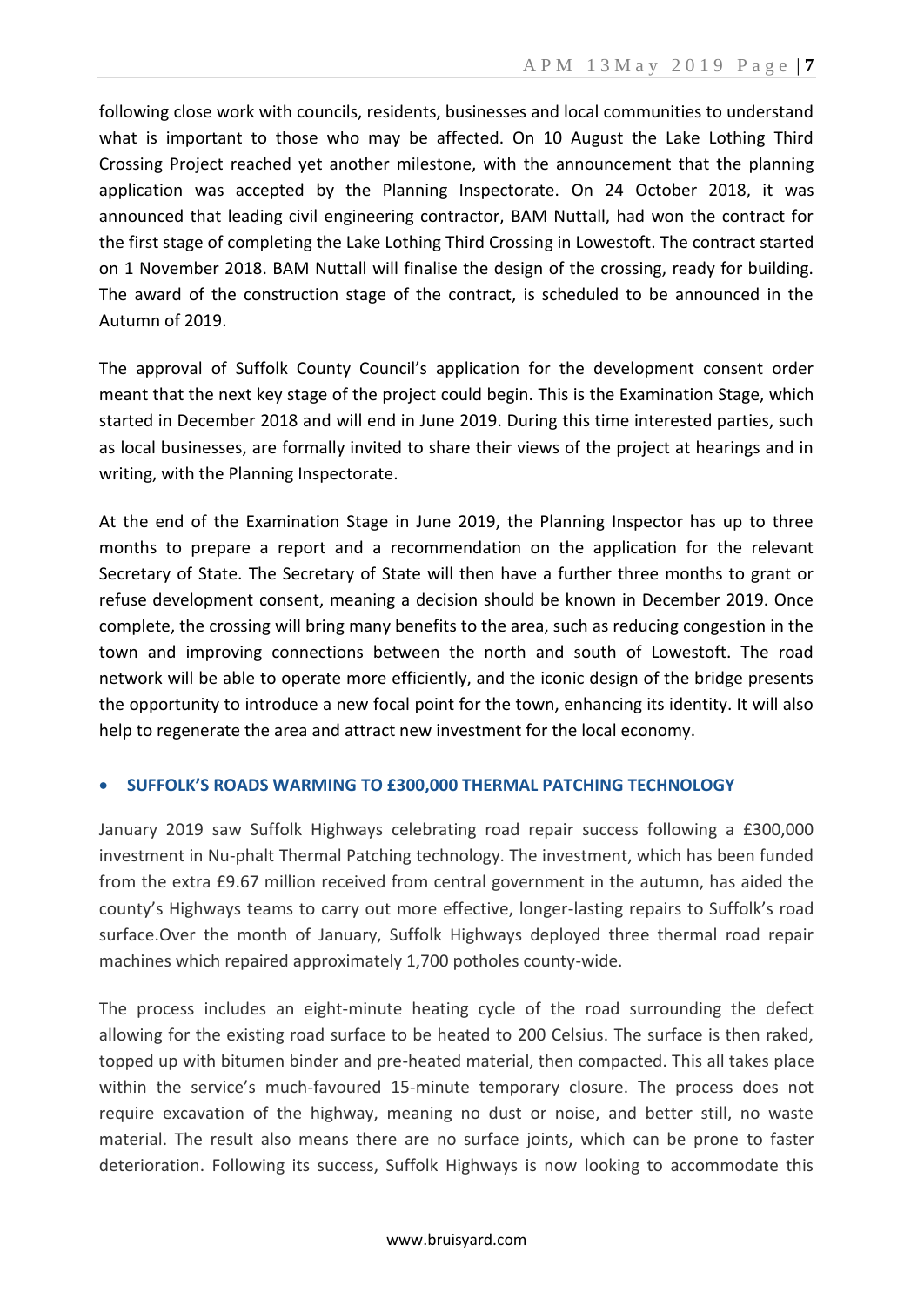following close work with councils, residents, businesses and local communities to understand what is important to those who may be affected. On 10 August the Lake Lothing Third Crossing Project reached yet another milestone, with the announcement that the planning application was accepted by the Planning Inspectorate. On 24 October 2018, it was announced that leading civil engineering contractor, BAM Nuttall, had won the contract for the first stage of completing the Lake Lothing Third Crossing in Lowestoft. The contract started on 1 November 2018. BAM Nuttall will finalise the design of the crossing, ready for building. The award of the construction stage of the contract, is scheduled to be announced in the Autumn of 2019.

The approval of Suffolk County Council's application for the development consent order meant that the next key stage of the project could begin. This is the Examination Stage, which started in December 2018 and will end in June 2019. During this time interested parties, such as local businesses, are formally invited to share their views of the project at hearings and in writing, with the Planning Inspectorate.

At the end of the Examination Stage in June 2019, the Planning Inspector has up to three months to prepare a report and a recommendation on the application for the relevant Secretary of State. The Secretary of State will then have a further three months to grant or refuse development consent, meaning a decision should be known in December 2019. Once complete, the crossing will bring many benefits to the area, such as reducing congestion in the town and improving connections between the north and south of Lowestoft. The road network will be able to operate more efficiently, and the iconic design of the bridge presents the opportunity to introduce a new focal point for the town, enhancing its identity. It will also help to regenerate the area and attract new investment for the local economy.

## **SUFFOLK'S ROADS WARMING TO £300,000 THERMAL PATCHING TECHNOLOGY**

January 2019 saw Suffolk Highways celebrating road repair success following a £300,000 investment in Nu-phalt Thermal Patching technology. The investment, which has been funded from the extra £9.67 million received from central government in the autumn, has aided the county's Highways teams to carry out more effective, longer-lasting repairs to Suffolk's road surface.Over the month of January, Suffolk Highways deployed three thermal road repair machines which repaired approximately 1,700 potholes county-wide.

The process includes an eight-minute heating cycle of the road surrounding the defect allowing for the existing road surface to be heated to 200 Celsius. The surface is then raked, topped up with bitumen binder and pre-heated material, then compacted. This all takes place within the service's much-favoured 15-minute temporary closure. The process does not require excavation of the highway, meaning no dust or noise, and better still, no waste material. The result also means there are no surface joints, which can be prone to faster deterioration. Following its success, Suffolk Highways is now looking to accommodate this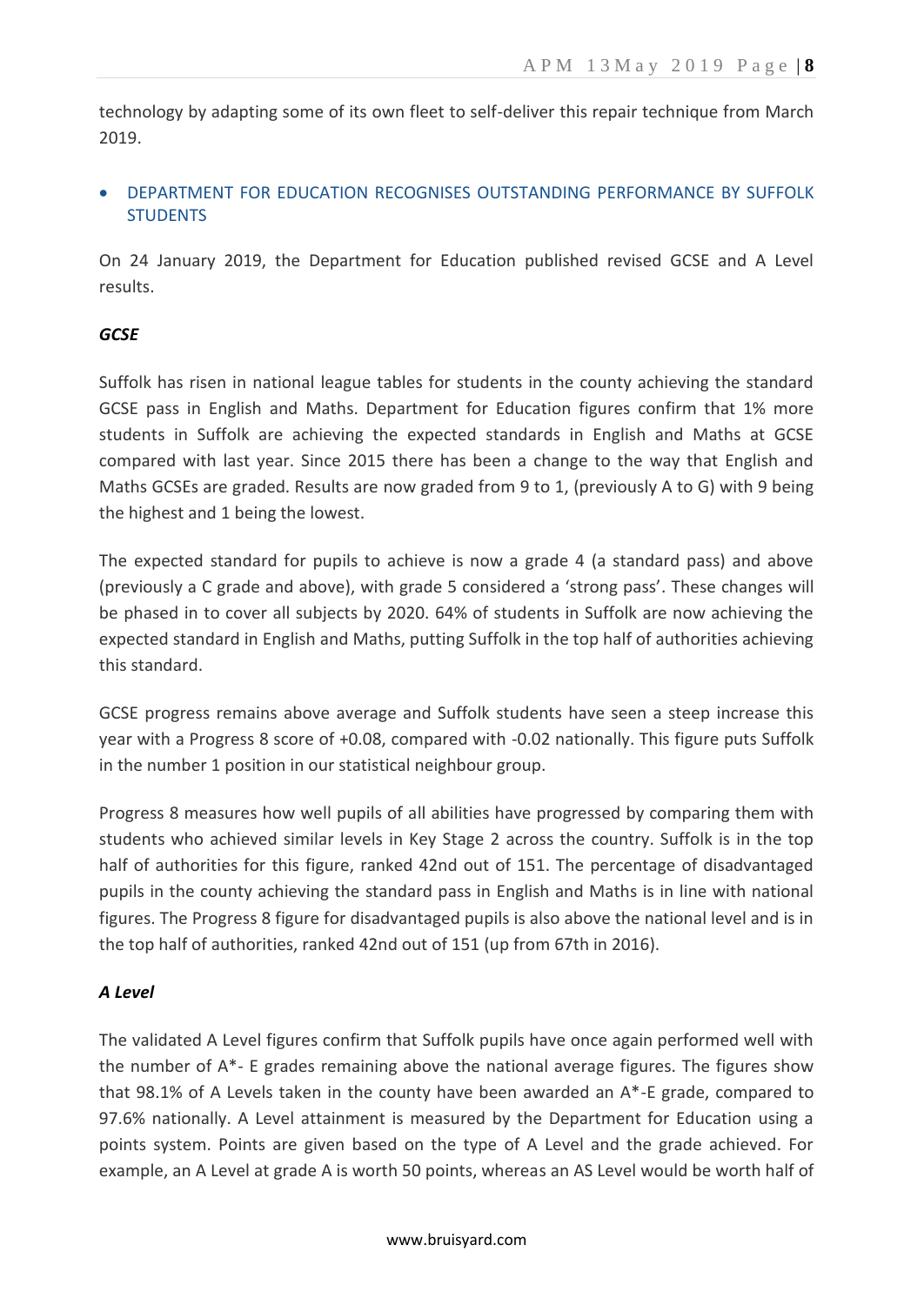technology by adapting some of its own fleet to self-deliver this repair technique from March 2019.

## DEPARTMENT FOR EDUCATION RECOGNISES OUTSTANDING PERFORMANCE BY SUFFOLK **STUDENTS**

On 24 January 2019, the Department for Education published revised GCSE and A Level results.

## *GCSE*

Suffolk has risen in national league tables for students in the county achieving the standard GCSE pass in English and Maths. Department for Education figures confirm that 1% more students in Suffolk are achieving the expected standards in English and Maths at GCSE compared with last year. Since 2015 there has been a change to the way that English and Maths GCSEs are graded. Results are now graded from 9 to 1, (previously A to G) with 9 being the highest and 1 being the lowest.

The expected standard for pupils to achieve is now a grade 4 (a standard pass) and above (previously a C grade and above), with grade 5 considered a 'strong pass'. These changes will be phased in to cover all subjects by 2020. 64% of students in Suffolk are now achieving the expected standard in English and Maths, putting Suffolk in the top half of authorities achieving this standard.

GCSE progress remains above average and Suffolk students have seen a steep increase this year with a Progress 8 score of +0.08, compared with -0.02 nationally. This figure puts Suffolk in the number 1 position in our statistical neighbour group.

Progress 8 measures how well pupils of all abilities have progressed by comparing them with students who achieved similar levels in Key Stage 2 across the country. Suffolk is in the top half of authorities for this figure, ranked 42nd out of 151. The percentage of disadvantaged pupils in the county achieving the standard pass in English and Maths is in line with national figures. The Progress 8 figure for disadvantaged pupils is also above the national level and is in the top half of authorities, ranked 42nd out of 151 (up from 67th in 2016).

## *A Level*

The validated A Level figures confirm that Suffolk pupils have once again performed well with the number of A\*- E grades remaining above the national average figures. The figures show that 98.1% of A Levels taken in the county have been awarded an A\*-E grade, compared to 97.6% nationally. A Level attainment is measured by the Department for Education using a points system. Points are given based on the type of A Level and the grade achieved. For example, an A Level at grade A is worth 50 points, whereas an AS Level would be worth half of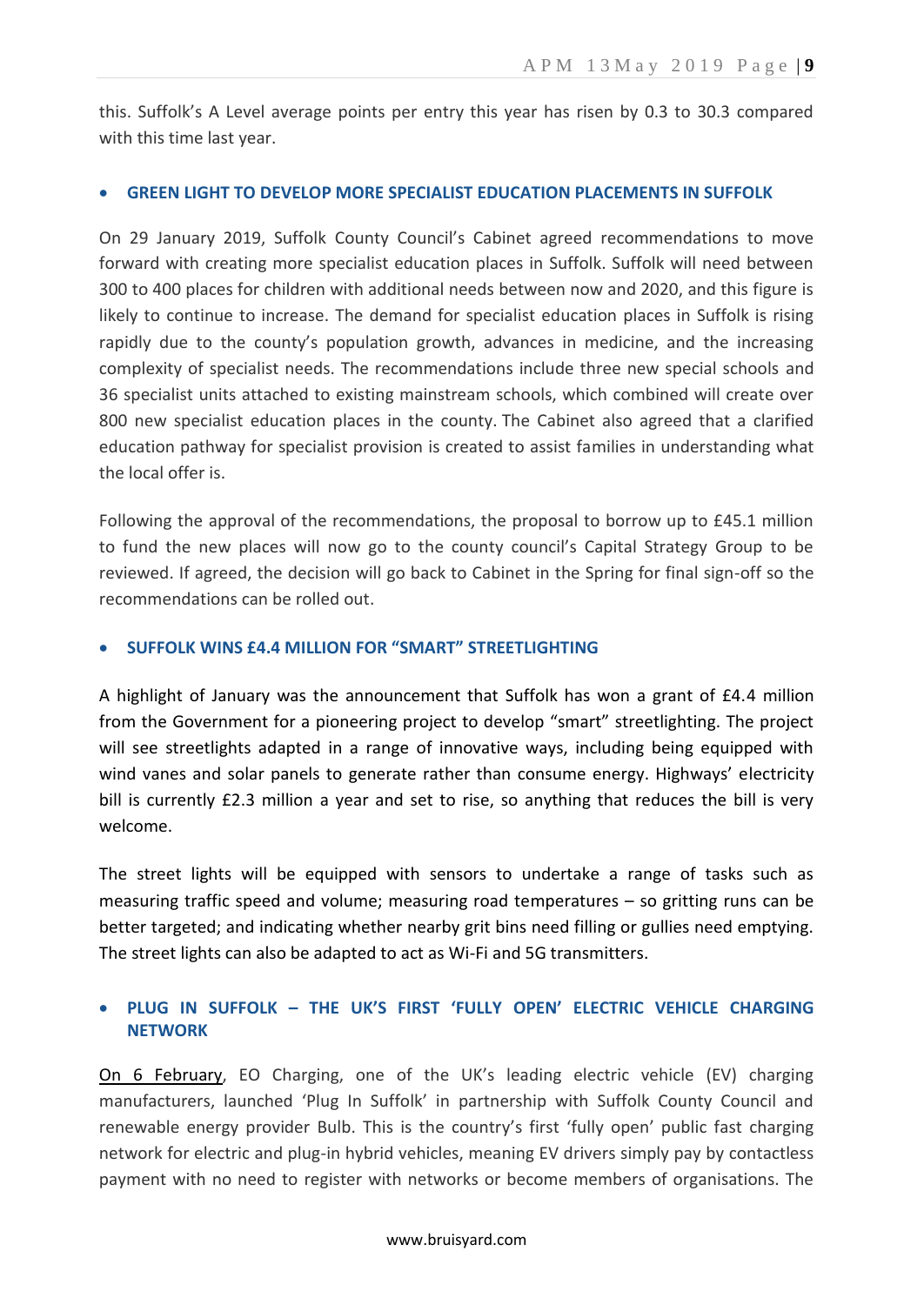this. Suffolk's A Level average points per entry this year has risen by 0.3 to 30.3 compared with this time last year.

#### **GREEN LIGHT TO DEVELOP MORE SPECIALIST EDUCATION PLACEMENTS IN SUFFOLK**

On 29 January 2019, Suffolk County Council's Cabinet agreed recommendations to move forward with creating more specialist education places in Suffolk. Suffolk will need between 300 to 400 places for children with additional needs between now and 2020, and this figure is likely to continue to increase. The demand for specialist education places in Suffolk is rising rapidly due to the county's population growth, advances in medicine, and the increasing complexity of specialist needs. The recommendations include three new special schools and 36 specialist units attached to existing mainstream schools, which combined will create over 800 new specialist education places in the county. The Cabinet also agreed that a clarified education pathway for specialist provision is created to assist families in understanding what the local offer is.

Following the approval of the recommendations, the proposal to borrow up to £45.1 million to fund the new places will now go to the county council's Capital Strategy Group to be reviewed. If agreed, the decision will go back to Cabinet in the Spring for final sign-off so the recommendations can be rolled out.

#### **SUFFOLK WINS £4.4 MILLION FOR "SMART" STREETLIGHTING**

A highlight of January was the announcement that Suffolk has won a grant of £4.4 million from the Government for a pioneering project to develop "smart" streetlighting. The project will see streetlights adapted in a range of innovative ways, including being equipped with wind vanes and solar panels to generate rather than consume energy. Highways' electricity bill is currently £2.3 million a year and set to rise, so anything that reduces the bill is very welcome.

The street lights will be equipped with sensors to undertake a range of tasks such as measuring traffic speed and volume; measuring road temperatures – so gritting runs can be better targeted; and indicating whether nearby grit bins need filling or gullies need emptying. The street lights can also be adapted to act as Wi-Fi and 5G transmitters.

## **PLUG IN SUFFOLK – THE UK'S FIRST 'FULLY OPEN' ELECTRIC VEHICLE CHARGING NETWORK**

On 6 February, EO Charging, one of the UK's leading electric vehicle (EV) charging manufacturers, launched 'Plug In Suffolk' in partnership with Suffolk County Council and renewable energy provider Bulb. This is the country's first 'fully open' public fast charging network for electric and plug-in hybrid vehicles, meaning EV drivers simply pay by contactless payment with no need to register with networks or become members of organisations. The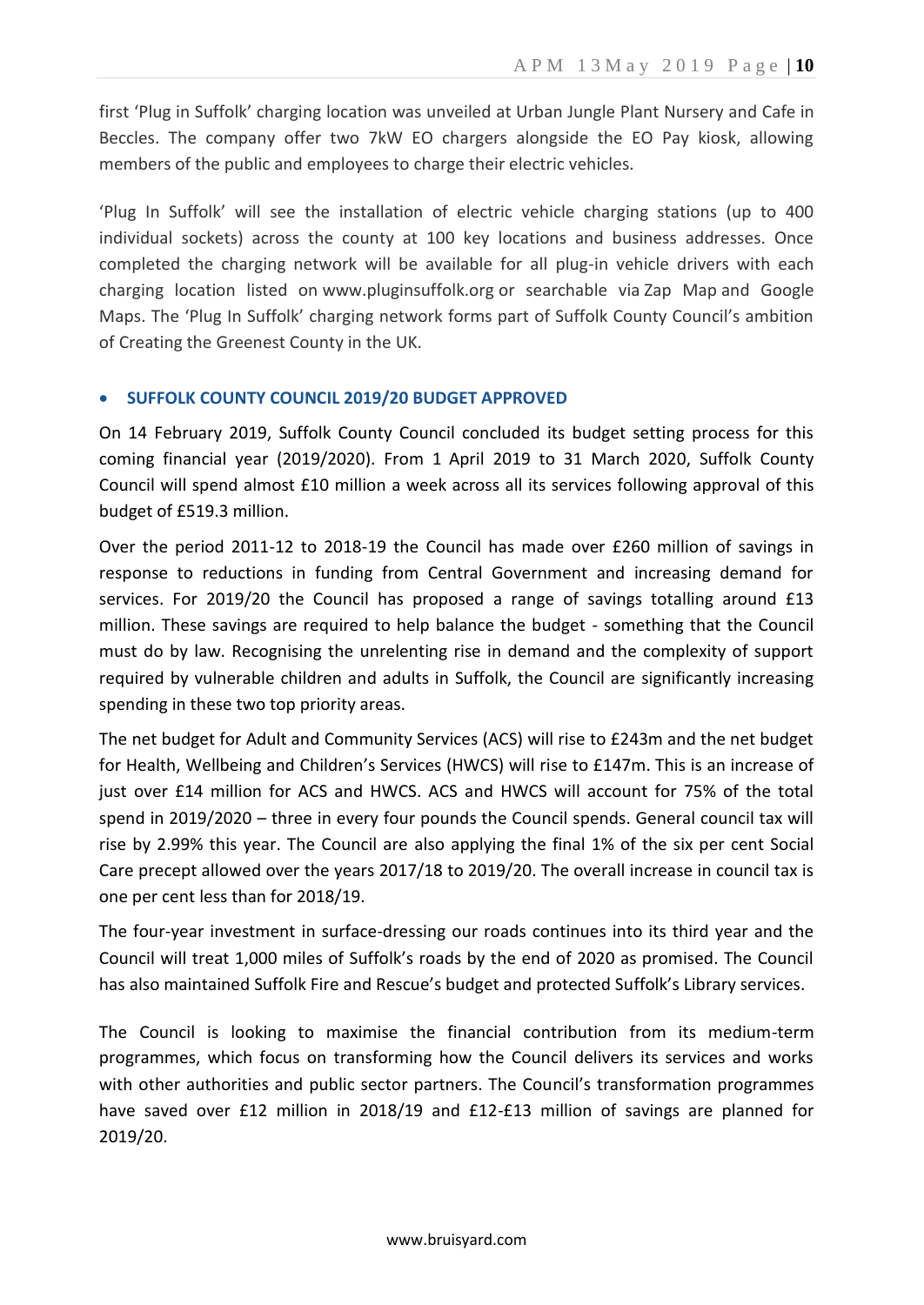first 'Plug in Suffolk' charging location was unveiled at Urban Jungle Plant Nursery and Cafe in Beccles. The company offer two 7kW EO chargers alongside the EO Pay kiosk, allowing members of the public and employees to charge their electric vehicles.

'Plug In Suffolk' will see the installation of electric vehicle charging stations (up to 400 individual sockets) across the county at 100 key locations and business addresses. Once completed the charging network will be available for all plug-in vehicle drivers with each charging location listed on www.pluginsuffolk.org or searchable via Zap Map and Google Maps. The 'Plug In Suffolk' charging network forms part of Suffolk County Council's ambition of Creating the Greenest County in the UK.

### **SUFFOLK COUNTY COUNCIL 2019/20 BUDGET APPROVED**

On 14 February 2019, Suffolk County Council concluded its budget setting process for this coming financial year (2019/2020). From 1 April 2019 to 31 March 2020, Suffolk County Council will spend almost £10 million a week across all its services following approval of this budget of £519.3 million.

Over the period 2011-12 to 2018-19 the Council has made over £260 million of savings in response to reductions in funding from Central Government and increasing demand for services. For 2019/20 the Council has proposed a range of savings totalling around £13 million. These savings are required to help balance the budget - something that the Council must do by law. Recognising the unrelenting rise in demand and the complexity of support required by vulnerable children and adults in Suffolk, the Council are significantly increasing spending in these two top priority areas.

The net budget for Adult and Community Services (ACS) will rise to £243m and the net budget for Health, Wellbeing and Children's Services (HWCS) will rise to £147m. This is an increase of just over £14 million for ACS and HWCS. ACS and HWCS will account for 75% of the total spend in 2019/2020 – three in every four pounds the Council spends. General council tax will rise by 2.99% this year. The Council are also applying the final 1% of the six per cent Social Care precept allowed over the years 2017/18 to 2019/20. The overall increase in council tax is one per cent less than for 2018/19.

The four-year investment in surface-dressing our roads continues into its third year and the Council will treat 1,000 miles of Suffolk's roads by the end of 2020 as promised. The Council has also maintained Suffolk Fire and Rescue's budget and protected Suffolk's Library services.

The Council is looking to maximise the financial contribution from its medium-term programmes, which focus on transforming how the Council delivers its services and works with other authorities and public sector partners. The Council's transformation programmes have saved over £12 million in 2018/19 and £12-£13 million of savings are planned for 2019/20.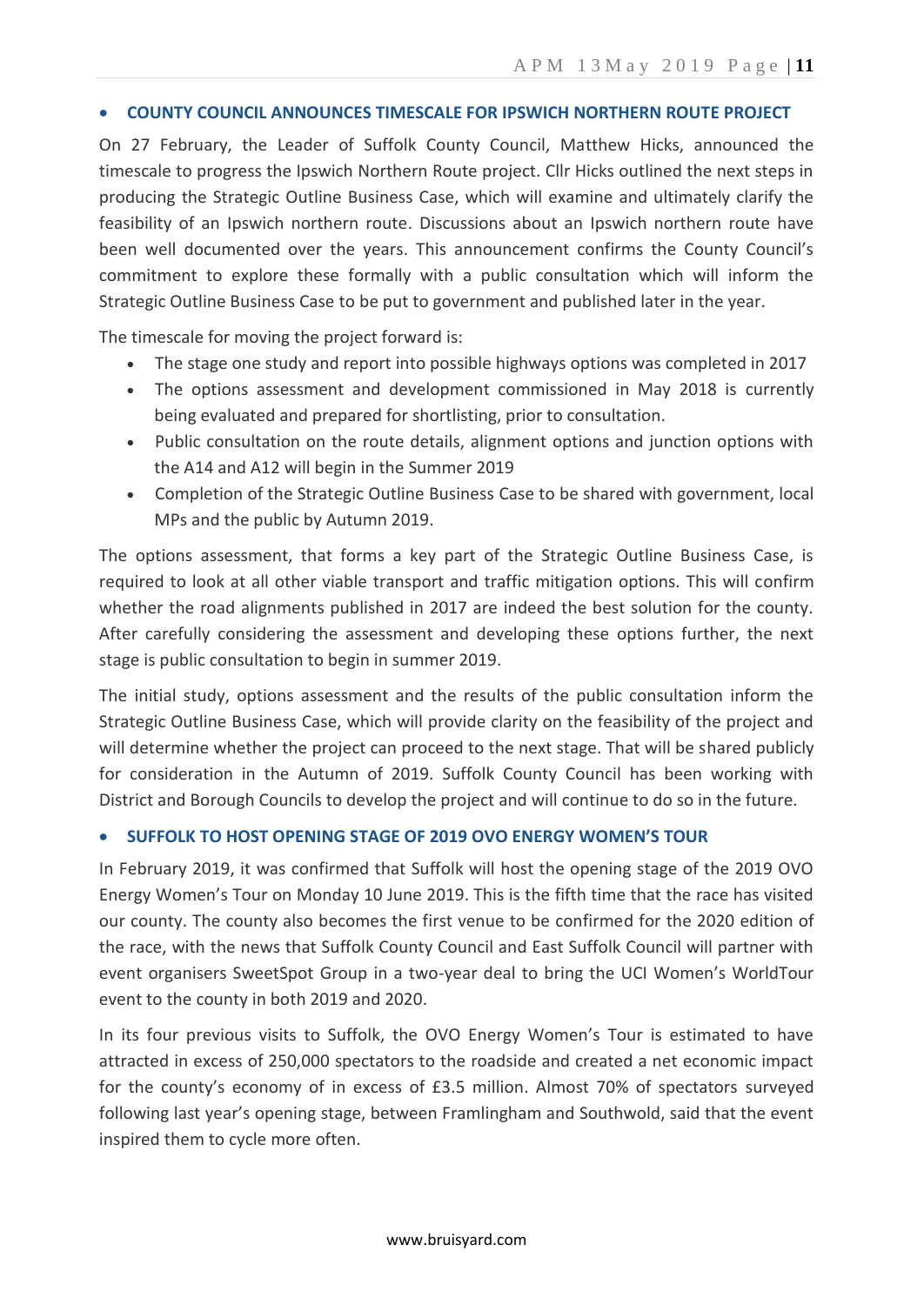#### **COUNTY COUNCIL ANNOUNCES TIMESCALE FOR IPSWICH NORTHERN ROUTE PROJECT**

On 27 February, the Leader of Suffolk County Council, Matthew Hicks, announced the timescale to progress the Ipswich Northern Route project. Cllr Hicks outlined the next steps in producing the Strategic Outline Business Case, which will examine and ultimately clarify the feasibility of an Ipswich northern route. Discussions about an Ipswich northern route have been well documented over the years. This announcement confirms the County Council's commitment to explore these formally with a public consultation which will inform the Strategic Outline Business Case to be put to government and published later in the year.

The timescale for moving the project forward is:

- The stage one study and report into possible highways options was completed in 2017
- The options assessment and development commissioned in May 2018 is currently being evaluated and prepared for shortlisting, prior to consultation.
- Public consultation on the route details, alignment options and junction options with the A14 and A12 will begin in the Summer 2019
- Completion of the Strategic Outline Business Case to be shared with government, local MPs and the public by Autumn 2019.

The options assessment, that forms a key part of the Strategic Outline Business Case, is required to look at all other viable transport and traffic mitigation options. This will confirm whether the road alignments published in 2017 are indeed the best solution for the county. After carefully considering the assessment and developing these options further, the next stage is public consultation to begin in summer 2019.

The initial study, options assessment and the results of the public consultation inform the Strategic Outline Business Case, which will provide clarity on the feasibility of the project and will determine whether the project can proceed to the next stage. That will be shared publicly for consideration in the Autumn of 2019. Suffolk County Council has been working with District and Borough Councils to develop the project and will continue to do so in the future.

## **SUFFOLK TO HOST OPENING STAGE OF 2019 OVO ENERGY WOMEN'S TOUR**

In February 2019, it was confirmed that Suffolk will host the opening stage of the 2019 OVO Energy Women's Tour on Monday 10 June 2019. This is the fifth time that the race has visited our county. The county also becomes the first venue to be confirmed for the 2020 edition of the race, with the news that Suffolk County Council and East Suffolk Council will partner with event organisers SweetSpot Group in a two-year deal to bring the UCI Women's WorldTour event to the county in both 2019 and 2020.

In its four previous visits to Suffolk, the OVO Energy Women's Tour is estimated to have attracted in excess of 250,000 spectators to the roadside and created a net economic impact for the county's economy of in excess of £3.5 million. Almost 70% of spectators surveyed following last year's opening stage, between Framlingham and Southwold, said that the event inspired them to cycle more often.